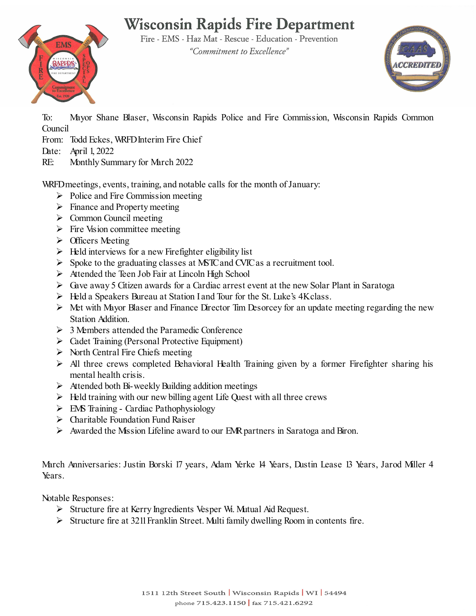# **Wisconsin Rapids Fire Department**



Fire - EMS - Haz Mat - Rescue - Education - Prevention "Commitment to Excellence"



To: Mayor Shane Blaser, Wisconsin Rapids Police and Fire Commission, Wisconsin Rapids Common Council

From: Todd Eckes, WRFD Interim Fire Chief

- Date: April 1, 2022
- RE: Monthly Summary for March 2022

WRFD meetings, events, training, and notable calls for the month of January:

- $\triangleright$  Police and Fire Commission meeting
- $\triangleright$  Finance and Property meeting
- $\triangleright$  Common Council meeting
- $\triangleright$  Fire Vision committee meeting
- $\triangleright$  Officers Meeting
- $\triangleright$  Held interviews for a new Firefighter eligibility list
- $\triangleright$  Spoke to the graduating classes at MSTC and CVIC as a recruitment tool.
- Attended the Teen Job Fair at Lincoln High School
- $\triangleright$  Gave away 5 Citizen awards for a Cardiac arrest event at the new Solar Plant in Saratoga
- $\triangleright$  Held a Speakers Bureau at Station I and Tour for the St. Luke's 4K class.
- $\triangleright$  Met with Mayor Blaser and Finance Director Tim Desorcey for an update meeting regarding the new Station Addition.
- $\geq 3$  Members attended the Paramedic Conference
- Cadet Training (Personal Protective Equipment)
- $\triangleright$  North Central Fire Chiefs meeting
- $\triangleright$  All three crews completed Behavioral Health Training given by a former Firefighter sharing his mental health crisis.
- $\triangleright$  Attended both Bi-weekly Building addition meetings
- $\triangleright$  Held training with our new billing agent Life Quest with all three crews
- $\triangleright$  EMS Training Cardiac Pathophysiology
- $\triangleright$  Charitable Foundation Fund Raiser
- $\triangleright$  Awarded the Mission Lifeline award to our EMR partners in Saratoga and Biron.

March Anniversaries: Justin Borski 17 years, Adam Yerke 14 Years, Dustin Lease 13 Years, Jarod Miller 4 Years.

Notable Responses:

- $\triangleright$  Structure fire at Kerry Ingredients Vesper W. Mutual Aid Request.
- $\triangleright$  Structure fire at 3211 Franklin Street. Multi family dwelling Room in contents fire.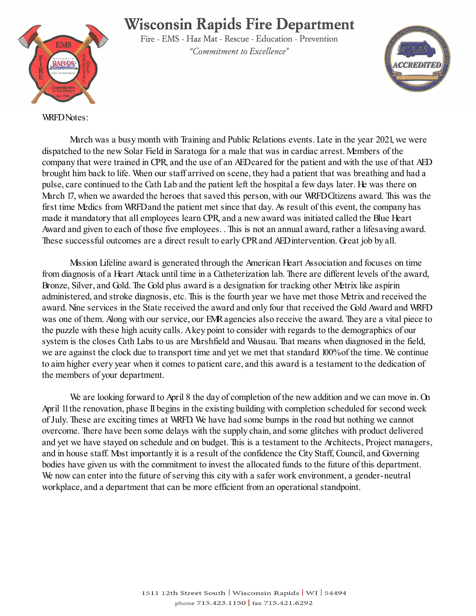## **Wisconsin Rapids Fire Department**



Fire - EMS - Haz Mat - Rescue - Education - Prevention "Commitment to Excellence"



WRFD Notes:

March was a busy month with Training and Public Relations events. Late in the year 2021, we were dispatched to the new Solar Field in Saratoga for a male that was in cardiac arrest. Members of the company that were trained in CPR, and the use of an AED cared for the patient and with the use of that AED brought him back to life. When our staff arrived on scene, they had a patient that was breathing and had a pulse, care continued to the Cath Lab and the patient left the hospital a few days later. He was there on March 17, when we awarded the heroes that saved this person, with our WRFD Citizens award. This was the first time Medics from WRFD and the patient met since that day. As result of this event, the company has made it mandatory that all employees learn CPR, and a new award was initiated called the Blue Heart Award and given to each of those five employees. . This is not an annual award, rather a lifesaving award. These successful outcomes are a direct result to early CPR and AED intervention. Great job by all.

Mission Lifeline award is generated through the American Heart Association and focuses on time from diagnosis of a Heart Attack until time in a Catheterization lab. There are different levels of the award, Bronze, Silver, and Gold. The Gold plus award is a designation for tracking other Metrix like aspirin administered, and stroke diagnosis, etc. This is the fourth year we have met those Metrix and received the award. Nine services in the State received the award and only four that received the Gold Award and WRFD was one of them. Along with our service, our EMR agencies also receive the award. They are a vital piece to the puzzle with these high acuity calls. A key point to consider with regards to the demographics of our system is the closes Cath Labs to us are Marshfield and Wausau. That means when diagnosed in the field, we are against the clock due to transport time and yet we met that standard 100% of the time. We continue to aim higher every year when it comes to patient care, and this award is a testament to the dedication of the members of your department.

We are looking forward to April 8 the day of completion of the new addition and we can move in. On April 11the renovation, phase II begins in the existing building with completion scheduled for second week of July. These are exciting times at WRFD. We have had some bumps in the road but nothing we cannot overcome. There have been some delays with the supply chain, and some glitches with product delivered and yet we have stayed on schedule and on budget. This is a testament to the Architects, Project managers, and in house staff. Most importantly it is a result of the confidence the City Staff, Council, and Governing bodies have given us with the commitment to invest the allocated funds to the future of this department. We now can enter into the future of serving this city with a safer work environment, a gender-neutral workplace, and a department that can be more efficient from an operational standpoint.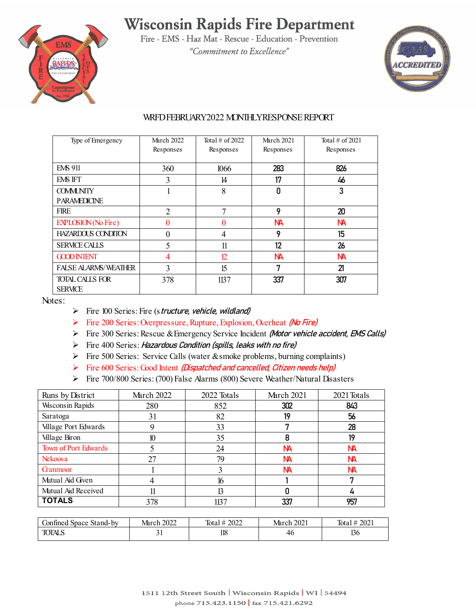## **Wisconsin Rapids Fire Department**



Fire - EMS - Haz Mat - Rescue - Education - Prevention "Commitment to Excellence"



#### WRFD FEBRUARY2022 MONTHLY RESPONSE REPORT

| Type of Emergency           | <b>March 2022</b><br>Responses | Total $\#$ of 2022<br>Responses | <b>March 2021</b><br>Responses | Total $\#$ of 2021<br>Responses |
|-----------------------------|--------------------------------|---------------------------------|--------------------------------|---------------------------------|
|                             |                                |                                 |                                |                                 |
| <b>EMS 911</b>              | 360                            | 1066                            | 283                            | 826                             |
| EMS IFT                     | 3                              | 14                              | 17                             | 46                              |
| <b>COMMUNITY</b>            | ш                              | 8                               | 0                              | 3                               |
| <b>PARAMEDICINE</b>         |                                |                                 |                                |                                 |
| <b>FIRE</b>                 | $\overline{2}$                 | 7                               | 9                              | 20                              |
| <b>EXPLOSION</b> (No Fire)  | 0                              | 0                               | NА                             | <b>NA</b>                       |
| <b>HAZARDOUS CONDITON</b>   | 0                              | 4                               | 9                              | 15                              |
| <b>SERVICE CALLS</b>        | 5                              | 11                              | 12                             | 26                              |
| <b>GOOD INTENT</b>          | 4                              | 12 <sup>°</sup>                 | <b>NA</b>                      | NА                              |
| <b>FALSE ALARMS/WEATHER</b> | 3                              | 15                              | 7                              | 21                              |
| <b>TOTAL CALLS FOR</b>      | 378                            | 1137                            | 337                            | 307                             |
| <b>SERVICE</b>              |                                |                                 |                                |                                 |

Notes:

- $\triangleright$  Fire 100 Series: Fire (structure, vehicle, wildland)
- Fire 200 Series: Overpressure, Rupture, Explosion, Overheat (No Fire)
- Fire 300 Series: Rescue & Emergency Service Incident (Motor vehicle accident, EMS Calls)
- $\triangleright$  Fire 400 Series: Hazardous Condition (spills, leaks with no fire)
- Fire 500 Series: Service Calls (water & smoke problems, burning complaints)
- Fire  $600$  Series: Good Intent (Dispatched and cancelled, Citizen needs help)
- Fire 700/800 Series: (700) False Alarms (800) Severe Weather/Natural Disasters

| Runs by District        | <b>March 2022</b> | 2022 Totals | <b>March 2021</b> | 2021 Totals |
|-------------------------|-------------------|-------------|-------------------|-------------|
| <b>Wisconsin Rapids</b> | 280               | 852         | 302               | 843         |
| Saratoga                | 31                | 82          | 19                | 56          |
| Village Port Edwards    |                   | 33          |                   | 28          |
| Village Biron           | 10                | 35          | 8                 | 19          |
| Town of Port Edwards    |                   | 24          | <b>NA</b>         | NА          |
| Nekoosa                 | 27                | 79          | <b>NA</b>         | NА          |
| <b>Grammoor</b>         |                   |             | NА                | NА          |
| Mutual Aid Given        | 4                 | 16          |                   | п           |
| Mutual Aid Received     | 11                | 13          |                   | 4           |
| <b>TOTALS</b>           | 378               | 1137        | 337               | 957         |

| ontined to<br>Stand-by<br>space | 2022<br>March | 2022<br><b>Tota</b> | 2021<br>March | 2021<br>Tota |
|---------------------------------|---------------|---------------------|---------------|--------------|
| <b>TOTALS</b>                   | ັ້            | 118                 | 46            | 12.<br>156   |